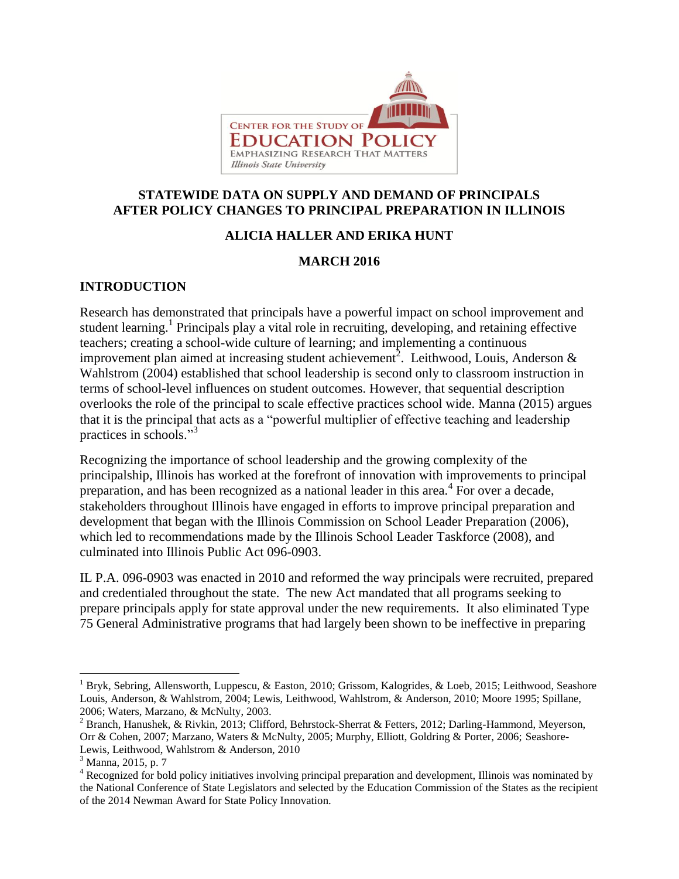

### **STATEWIDE DATA ON SUPPLY AND DEMAND OF PRINCIPALS AFTER POLICY CHANGES TO PRINCIPAL PREPARATION IN ILLINOIS**

# **ALICIA HALLER AND ERIKA HUNT**

### **MARCH 2016**

# **INTRODUCTION**

Research has demonstrated that principals have a powerful impact on school improvement and student learning. 1 Principals play a vital role in recruiting, developing, and retaining effective teachers; creating a school-wide culture of learning; and implementing a continuous improvement plan aimed at increasing student achievement<sup>2</sup>. Leithwood, Louis, Anderson & Wahlstrom (2004) established that school leadership is second only to classroom instruction in terms of school-level influences on student outcomes. However, that sequential description overlooks the role of the principal to scale effective practices school wide. Manna (2015) argues that it is the principal that acts as a "powerful multiplier of effective teaching and leadership practices in schools."<sup>3</sup>

Recognizing the importance of school leadership and the growing complexity of the principalship, Illinois has worked at the forefront of innovation with improvements to principal preparation, and has been recognized as a national leader in this area. $4$  For over a decade, stakeholders throughout Illinois have engaged in efforts to improve principal preparation and development that began with the Illinois Commission on School Leader Preparation (2006), which led to recommendations made by the Illinois School Leader Taskforce (2008), and culminated into Illinois Public Act 096-0903.

IL P.A. 096-0903 was enacted in 2010 and reformed the way principals were recruited, prepared and credentialed throughout the state. The new Act mandated that all programs seeking to prepare principals apply for state approval under the new requirements. It also eliminated Type 75 General Administrative programs that had largely been shown to be ineffective in preparing

l

<sup>1</sup> Bryk, Sebring, Allensworth, Luppescu, & Easton, 2010; Grissom, Kalogrides, & Loeb, 2015; Leithwood, Seashore Louis, Anderson, & Wahlstrom, 2004; Lewis, Leithwood, Wahlstrom, & Anderson, 2010; Moore 1995; Spillane, 2006; Waters, Marzano, & McNulty, 2003.

<sup>&</sup>lt;sup>2</sup> Branch, Hanushek, & Rivkin, 2013; Clifford, Behrstock-Sherrat & Fetters, 2012; Darling-Hammond, Meyerson, Orr & Cohen, 2007; Marzano, Waters & McNulty, 2005; Murphy, Elliott, Goldring & Porter, 2006; Seashore-Lewis, Leithwood, Wahlstrom & Anderson, 2010

<sup>3</sup> Manna, 2015, p. 7

<sup>&</sup>lt;sup>4</sup> Recognized for bold policy initiatives involving principal preparation and development, Illinois was nominated by the National Conference of State Legislators and selected by the Education Commission of the States as the recipient of the 2014 Newman Award for State Policy Innovation.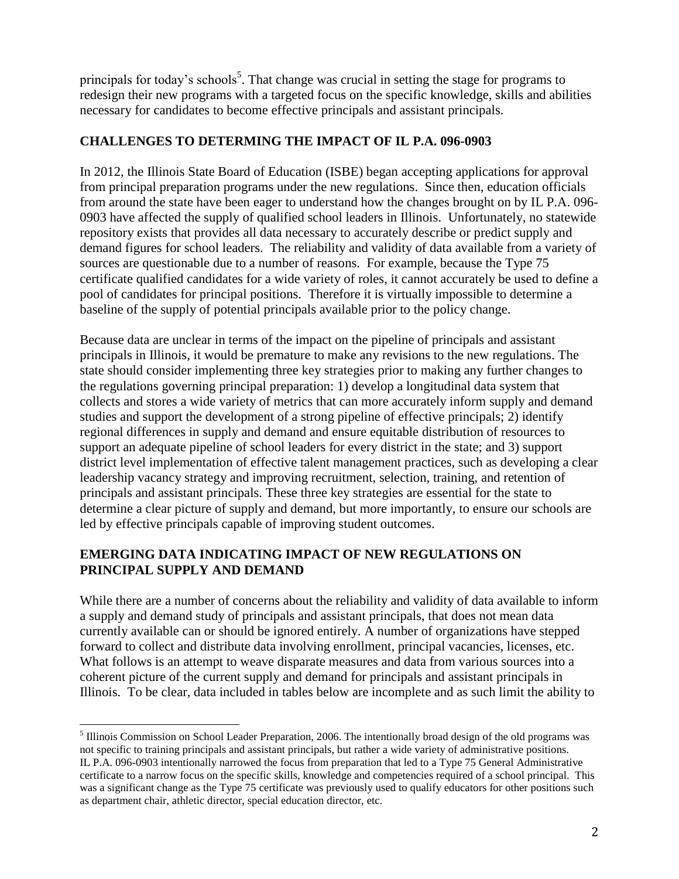principals for today's schools<sup>5</sup>. That change was crucial in setting the stage for programs to redesign their new programs with a targeted focus on the specific knowledge, skills and abilities necessary for candidates to become effective principals and assistant principals.

### **CHALLENGES TO DETERMING THE IMPACT OF IL P.A. 096-0903**

In 2012, the Illinois State Board of Education (ISBE) began accepting applications for approval from principal preparation programs under the new regulations. Since then, education officials from around the state have been eager to understand how the changes brought on by IL P.A. 096- 0903 have affected the supply of qualified school leaders in Illinois. Unfortunately, no statewide repository exists that provides all data necessary to accurately describe or predict supply and demand figures for school leaders. The reliability and validity of data available from a variety of sources are questionable due to a number of reasons. For example, because the Type 75 certificate qualified candidates for a wide variety of roles, it cannot accurately be used to define a pool of candidates for principal positions. Therefore it is virtually impossible to determine a baseline of the supply of potential principals available prior to the policy change.

Because data are unclear in terms of the impact on the pipeline of principals and assistant principals in Illinois, it would be premature to make any revisions to the new regulations. The state should consider implementing three key strategies prior to making any further changes to the regulations governing principal preparation: 1) develop a longitudinal data system that collects and stores a wide variety of metrics that can more accurately inform supply and demand studies and support the development of a strong pipeline of effective principals; 2) identify regional differences in supply and demand and ensure equitable distribution of resources to support an adequate pipeline of school leaders for every district in the state; and 3) support district level implementation of effective talent management practices, such as developing a clear leadership vacancy strategy and improving recruitment, selection, training, and retention of principals and assistant principals. These three key strategies are essential for the state to determine a clear picture of supply and demand, but more importantly, to ensure our schools are led by effective principals capable of improving student outcomes.

### **EMERGING DATA INDICATING IMPACT OF NEW REGULATIONS ON PRINCIPAL SUPPLY AND DEMAND**

 $\overline{a}$ 

While there are a number of concerns about the reliability and validity of data available to inform a supply and demand study of principals and assistant principals, that does not mean data currently available can or should be ignored entirely. A number of organizations have stepped forward to collect and distribute data involving enrollment, principal vacancies, licenses, etc. What follows is an attempt to weave disparate measures and data from various sources into a coherent picture of the current supply and demand for principals and assistant principals in Illinois. To be clear, data included in tables below are incomplete and as such limit the ability to

<sup>&</sup>lt;sup>5</sup> Illinois Commission on School Leader Preparation, 2006. The intentionally broad design of the old programs was not specific to training principals and assistant principals, but rather a wide variety of administrative positions. IL P.A. 096-0903 intentionally narrowed the focus from preparation that led to a Type 75 General Administrative certificate to a narrow focus on the specific skills, knowledge and competencies required of a school principal. This was a significant change as the Type 75 certificate was previously used to qualify educators for other positions such as department chair, athletic director, special education director, etc.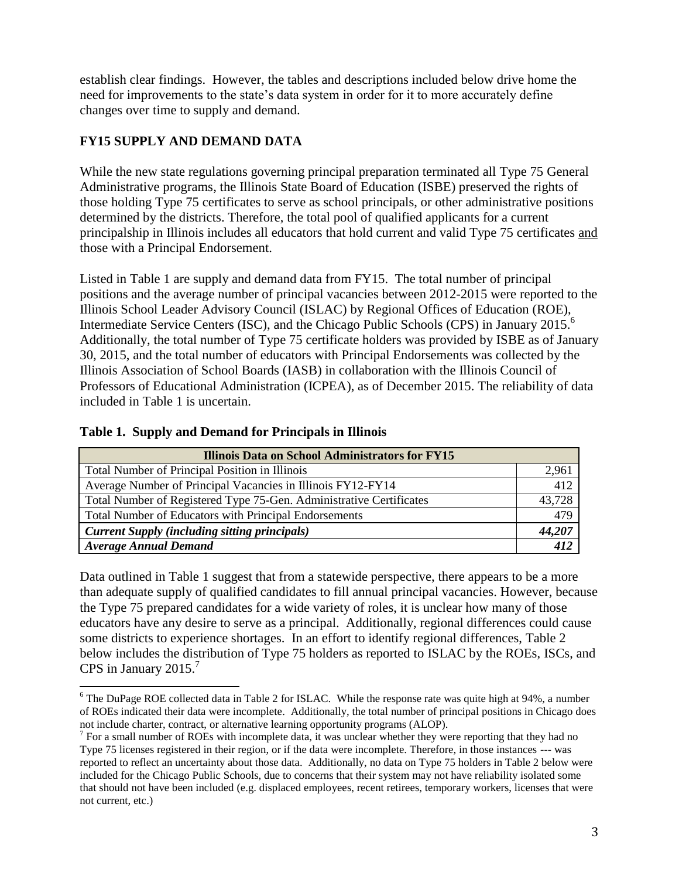establish clear findings. However, the tables and descriptions included below drive home the need for improvements to the state's data system in order for it to more accurately define changes over time to supply and demand.

# **FY15 SUPPLY AND DEMAND DATA**

While the new state regulations governing principal preparation terminated all Type 75 General Administrative programs, the Illinois State Board of Education (ISBE) preserved the rights of those holding Type 75 certificates to serve as school principals, or other administrative positions determined by the districts. Therefore, the total pool of qualified applicants for a current principalship in Illinois includes all educators that hold current and valid Type 75 certificates and those with a Principal Endorsement.

Listed in Table 1 are supply and demand data from FY15. The total number of principal positions and the average number of principal vacancies between 2012-2015 were reported to the Illinois School Leader Advisory Council (ISLAC) by Regional Offices of Education (ROE), Intermediate Service Centers (ISC), and the Chicago Public Schools (CPS) in January 2015. 6 Additionally, the total number of Type 75 certificate holders was provided by ISBE as of January 30, 2015, and the total number of educators with Principal Endorsements was collected by the Illinois Association of School Boards (IASB) in collaboration with the Illinois Council of Professors of Educational Administration (ICPEA), as of December 2015. The reliability of data included in Table 1 is uncertain.

| <b>Illinois Data on School Administrators for FY15</b>              |        |  |  |
|---------------------------------------------------------------------|--------|--|--|
| <b>Total Number of Principal Position in Illinois</b>               | 2,961  |  |  |
| Average Number of Principal Vacancies in Illinois FY12-FY14         |        |  |  |
| Total Number of Registered Type 75-Gen. Administrative Certificates |        |  |  |
| <b>Total Number of Educators with Principal Endorsements</b>        | 479    |  |  |
| <b>Current Supply (including sitting principals)</b>                | 44,207 |  |  |
| <b>Average Annual Demand</b>                                        |        |  |  |

#### **Table 1. Supply and Demand for Principals in Illinois**

 $\overline{a}$ 

Data outlined in Table 1 suggest that from a statewide perspective, there appears to be a more than adequate supply of qualified candidates to fill annual principal vacancies. However, because the Type 75 prepared candidates for a wide variety of roles, it is unclear how many of those educators have any desire to serve as a principal. Additionally, regional differences could cause some districts to experience shortages. In an effort to identify regional differences, Table 2 below includes the distribution of Type 75 holders as reported to ISLAC by the ROEs, ISCs, and CPS in January 2015.<sup>7</sup>

<sup>&</sup>lt;sup>6</sup> The DuPage ROE collected data in Table 2 for ISLAC. While the response rate was quite high at 94%, a number of ROEs indicated their data were incomplete. Additionally, the total number of principal positions in Chicago does not include charter, contract, or alternative learning opportunity programs (ALOP).

 $<sup>7</sup>$  For a small number of ROEs with incomplete data, it was unclear whether they were reporting that they had no</sup> Type 75 licenses registered in their region, or if the data were incomplete. Therefore, in those instances --- was reported to reflect an uncertainty about those data. Additionally, no data on Type 75 holders in Table 2 below were included for the Chicago Public Schools, due to concerns that their system may not have reliability isolated some that should not have been included (e.g. displaced employees, recent retirees, temporary workers, licenses that were not current, etc.)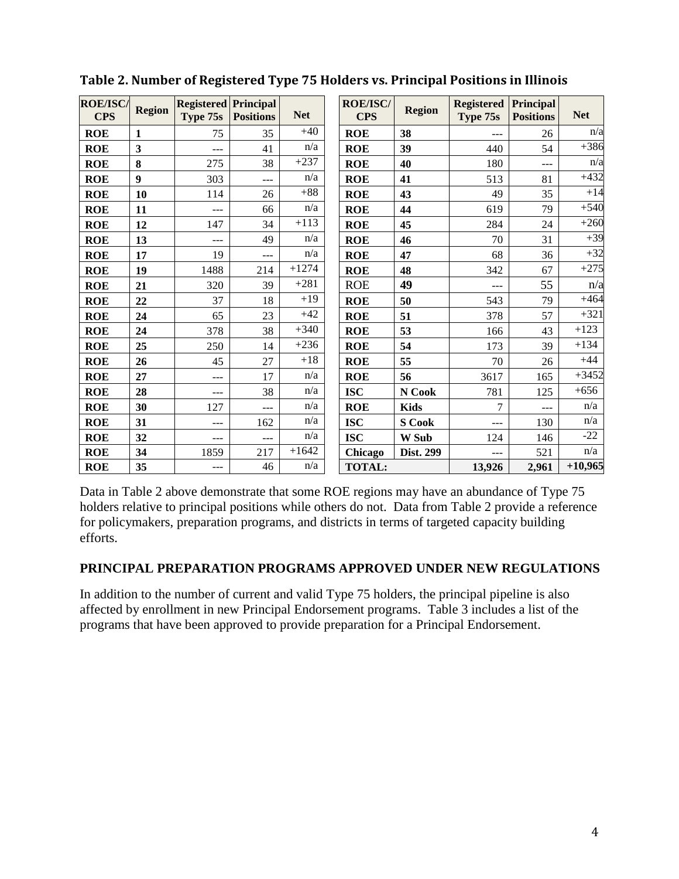| <b>ROE/ISC/</b><br><b>CPS</b> | <b>Region</b>           | <b>Registered Principal</b><br>Type 75s | <b>Positions</b> | <b>Net</b> | <b>ROE/ISC/</b><br><b>CPS</b> | <b>Region</b> | <b>Registered</b><br>Type 75s | Principal<br><b>Positions</b> | <b>Net</b> |
|-------------------------------|-------------------------|-----------------------------------------|------------------|------------|-------------------------------|---------------|-------------------------------|-------------------------------|------------|
| <b>ROE</b>                    | $\mathbf{1}$            | 75                                      | 35               | $+40$      | <b>ROE</b>                    | 38            | ---                           | 26                            | n/a        |
| <b>ROE</b>                    | $\overline{\mathbf{3}}$ | $---$                                   | 41               | n/a        | <b>ROE</b>                    | 39            | 440                           | 54                            | $+386$     |
| <b>ROE</b>                    | 8                       | 275                                     | 38               | $+237$     | <b>ROE</b>                    | 40            | 180                           | $---$                         | n/a        |
| <b>ROE</b>                    | $\boldsymbol{9}$        | 303                                     | ---              | n/a        | <b>ROE</b>                    | 41            | 513                           | 81                            | $+432$     |
| <b>ROE</b>                    | 10                      | 114                                     | 26               | $+88$      | <b>ROE</b>                    | 43            | 49                            | 35                            | $+14$      |
| <b>ROE</b>                    | 11                      | ---                                     | 66               | n/a        | <b>ROE</b>                    | 44            | 619                           | 79                            | $+540$     |
| <b>ROE</b>                    | 12                      | 147                                     | 34               | $+113$     | <b>ROE</b>                    | 45            | 284                           | 24                            | $+260$     |
| <b>ROE</b>                    | 13                      | ---                                     | 49               | n/a        | <b>ROE</b>                    | 46            | 70                            | 31                            | $+39$      |
| <b>ROE</b>                    | 17                      | 19                                      | $---$            | n/a        | <b>ROE</b>                    | 47            | 68                            | 36                            | $+32$      |
| <b>ROE</b>                    | 19                      | 1488                                    | 214              | $+1274$    | <b>ROE</b>                    | 48            | 342                           | 67                            | $+275$     |
| <b>ROE</b>                    | 21                      | 320                                     | 39               | $+281$     | <b>ROE</b>                    | 49            | ---                           | 55                            | n/a        |
| <b>ROE</b>                    | 22                      | 37                                      | 18               | $+19$      | <b>ROE</b>                    | 50            | 543                           | 79                            | $+464$     |
| <b>ROE</b>                    | 24                      | 65                                      | 23               | $+42$      | <b>ROE</b>                    | 51            | 378                           | 57                            | $+321$     |
| <b>ROE</b>                    | 24                      | 378                                     | 38               | $+340$     | <b>ROE</b>                    | 53            | 166                           | 43                            | $+123$     |
| <b>ROE</b>                    | 25                      | 250                                     | 14               | $+236$     | <b>ROE</b>                    | 54            | 173                           | 39                            | $+134$     |
| <b>ROE</b>                    | 26                      | 45                                      | 27               | $+18$      | <b>ROE</b>                    | 55            | 70                            | 26                            | $+44$      |
| <b>ROE</b>                    | 27                      | ---                                     | 17               | n/a        | <b>ROE</b>                    | 56            | 3617                          | 165                           | $+3452$    |
| <b>ROE</b>                    | 28                      | ---                                     | 38               | n/a        | <b>ISC</b>                    | N Cook        | 781                           | 125                           | $+656$     |
| <b>ROE</b>                    | 30                      | 127                                     | ---              | n/a        | <b>ROE</b>                    | <b>Kids</b>   | 7                             | $---$                         | n/a        |
| <b>ROE</b>                    | 31                      | ---                                     | 162              | n/a        | <b>ISC</b>                    | <b>S</b> Cook | $---$                         | 130                           | n/a        |
| <b>ROE</b>                    | 32                      | ---                                     | $---$            | n/a        | <b>ISC</b>                    | W Sub         | 124                           | 146                           | $-22$      |
| <b>ROE</b>                    | 34                      | 1859                                    | 217              | $+1642$    | Chicago                       | Dist. 299     |                               | 521                           | n/a        |
| <b>ROE</b>                    | 35                      | ---                                     | 46               | n/a        | <b>TOTAL:</b>                 |               | 13,926                        | 2,961                         | $+10,965$  |

Data in Table 2 above demonstrate that some ROE regions may have an abundance of Type 75 holders relative to principal positions while others do not. Data from Table 2 provide a reference for policymakers, preparation programs, and districts in terms of targeted capacity building efforts.

#### **PRINCIPAL PREPARATION PROGRAMS APPROVED UNDER NEW REGULATIONS**

In addition to the number of current and valid Type 75 holders, the principal pipeline is also affected by enrollment in new Principal Endorsement programs. Table 3 includes a list of the programs that have been approved to provide preparation for a Principal Endorsement.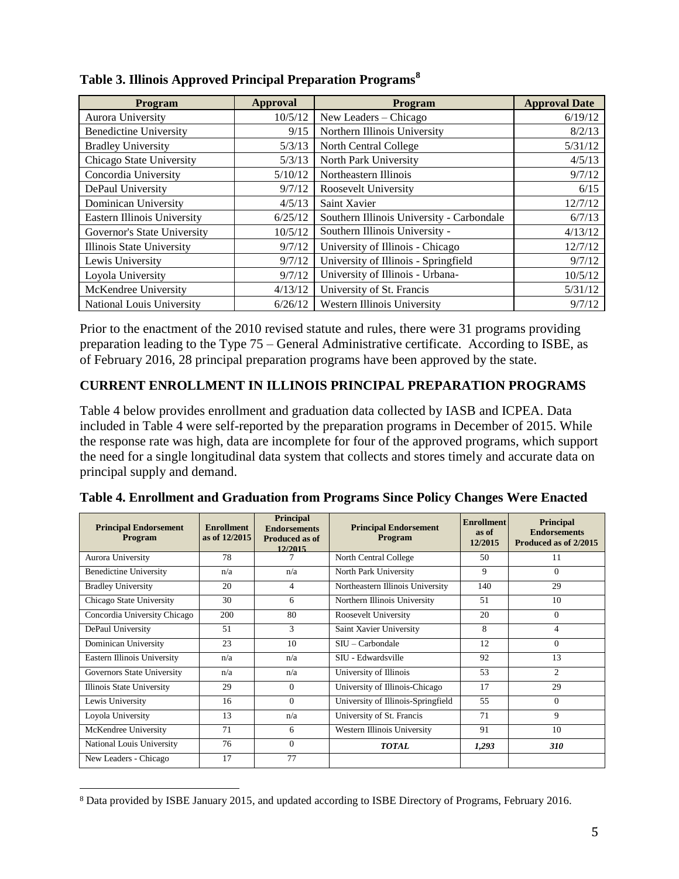| Program                            | <b>Approval</b> | Program                                   | <b>Approval Date</b> |
|------------------------------------|-----------------|-------------------------------------------|----------------------|
| Aurora University                  | 10/5/12         | New Leaders - Chicago                     | 6/19/12              |
| <b>Benedictine University</b>      | 9/15            | Northern Illinois University              | 8/2/13               |
| <b>Bradley University</b>          | 5/3/13          | North Central College                     | 5/31/12              |
| Chicago State University           | 5/3/13          | North Park University                     | 4/5/13               |
| Concordia University               | 5/10/12         | Northeastern Illinois                     | 9/7/12               |
| DePaul University                  | 9/7/12          | Roosevelt University                      | 6/15                 |
| Dominican University               | 4/5/13          | Saint Xavier                              | 12/7/12              |
| <b>Eastern Illinois University</b> | 6/25/12         | Southern Illinois University - Carbondale | 6/7/13               |
| Governor's State University        | 10/5/12         | Southern Illinois University -            | 4/13/12              |
| Illinois State University          | 9/7/12          | University of Illinois - Chicago          | 12/7/12              |
| Lewis University                   | 9/7/12          | University of Illinois - Springfield      | 9/7/12               |
| Loyola University                  | 9/7/12          | University of Illinois - Urbana-          | 10/5/12              |
| McKendree University               | 4/13/12         | University of St. Francis                 | 5/31/12              |
| National Louis University          | 6/26/12         | Western Illinois University               | 9/7/12               |

**Table 3. Illinois Approved Principal Preparation Programs<sup>8</sup>** 

Prior to the enactment of the 2010 revised statute and rules, there were 31 programs providing preparation leading to the Type 75 – General Administrative certificate. According to ISBE, as of February 2016, 28 principal preparation programs have been approved by the state.

### **CURRENT ENROLLMENT IN ILLINOIS PRINCIPAL PREPARATION PROGRAMS**

Table 4 below provides enrollment and graduation data collected by IASB and ICPEA. Data included in Table 4 were self-reported by the preparation programs in December of 2015. While the response rate was high, data are incomplete for four of the approved programs, which support the need for a single longitudinal data system that collects and stores timely and accurate data on principal supply and demand.

| <b>Principal Endorsement</b><br>Program | <b>Enrollment</b><br>as of 12/2015 | <b>Principal</b><br><b>Endorsements</b><br>Produced as of<br>12/2015 | <b>Principal Endorsement</b><br>Program | <b>Enrollment</b><br>as of<br>12/2015 | <b>Principal</b><br><b>Endorsements</b><br>Produced as of 2/2015 |
|-----------------------------------------|------------------------------------|----------------------------------------------------------------------|-----------------------------------------|---------------------------------------|------------------------------------------------------------------|
| Aurora University                       | 78                                 |                                                                      | North Central College                   | 50                                    | 11                                                               |
| <b>Benedictine University</b>           | n/a                                | n/a                                                                  | North Park University                   | 9                                     | $\Omega$                                                         |
| <b>Bradley University</b>               | 20                                 | 4                                                                    | Northeastern Illinois University        | 140                                   | 29                                                               |
| Chicago State University                | 30                                 | 6                                                                    | Northern Illinois University            | 51                                    | 10                                                               |
| Concordia University Chicago            | 200                                | 80                                                                   | Roosevelt University                    | 20                                    | $\Omega$                                                         |
| DePaul University                       | 51                                 | 3                                                                    | Saint Xavier University                 | 8                                     | 4                                                                |
| Dominican University                    | 23                                 | 10                                                                   | $SII - Carbondale$                      | 12                                    | $\Omega$                                                         |
| Eastern Illinois University             | n/a                                | n/a                                                                  | SIU - Edwardsville                      | 92                                    | 13                                                               |
| Governors State University              | n/a                                | n/a                                                                  | University of Illinois                  | 53                                    | $\overline{c}$                                                   |
| Illinois State University               | 29                                 | $\Omega$                                                             | University of Illinois-Chicago          | 17                                    | 29                                                               |
| Lewis University                        | 16                                 | $\Omega$                                                             | University of Illinois-Springfield      | 55                                    | $\Omega$                                                         |
| Loyola University                       | 13                                 | n/a                                                                  | University of St. Francis               | 71                                    | 9                                                                |
| McKendree University                    | 71                                 | 6                                                                    | Western Illinois University             | 91                                    | 10                                                               |
| National Louis University               | 76                                 | $\Omega$                                                             | <b>TOTAL</b>                            | 1,293                                 | <b>310</b>                                                       |
| New Leaders - Chicago                   | 17                                 | 77                                                                   |                                         |                                       |                                                                  |

**Table 4. Enrollment and Graduation from Programs Since Policy Changes Were Enacted**

 $\overline{a}$ <sup>8</sup> Data provided by ISBE January 2015, and updated according to ISBE Directory of Programs, February 2016.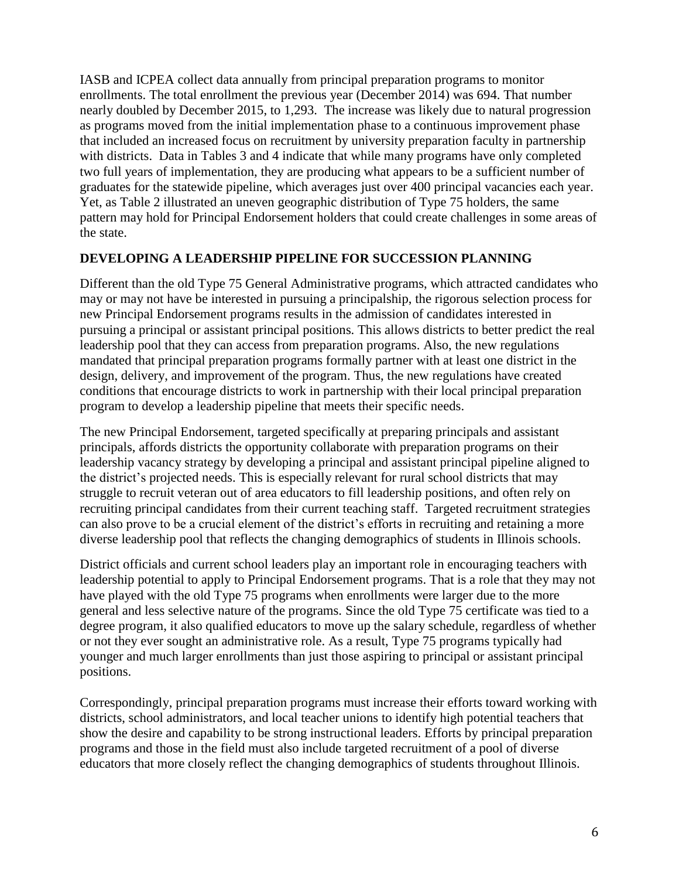IASB and ICPEA collect data annually from principal preparation programs to monitor enrollments. The total enrollment the previous year (December 2014) was 694. That number nearly doubled by December 2015, to 1,293. The increase was likely due to natural progression as programs moved from the initial implementation phase to a continuous improvement phase that included an increased focus on recruitment by university preparation faculty in partnership with districts. Data in Tables 3 and 4 indicate that while many programs have only completed two full years of implementation, they are producing what appears to be a sufficient number of graduates for the statewide pipeline, which averages just over 400 principal vacancies each year. Yet, as Table 2 illustrated an uneven geographic distribution of Type 75 holders, the same pattern may hold for Principal Endorsement holders that could create challenges in some areas of the state.

### **DEVELOPING A LEADERSHIP PIPELINE FOR SUCCESSION PLANNING**

Different than the old Type 75 General Administrative programs, which attracted candidates who may or may not have be interested in pursuing a principalship, the rigorous selection process for new Principal Endorsement programs results in the admission of candidates interested in pursuing a principal or assistant principal positions. This allows districts to better predict the real leadership pool that they can access from preparation programs. Also, the new regulations mandated that principal preparation programs formally partner with at least one district in the design, delivery, and improvement of the program. Thus, the new regulations have created conditions that encourage districts to work in partnership with their local principal preparation program to develop a leadership pipeline that meets their specific needs.

The new Principal Endorsement, targeted specifically at preparing principals and assistant principals, affords districts the opportunity collaborate with preparation programs on their leadership vacancy strategy by developing a principal and assistant principal pipeline aligned to the district's projected needs. This is especially relevant for rural school districts that may struggle to recruit veteran out of area educators to fill leadership positions, and often rely on recruiting principal candidates from their current teaching staff. Targeted recruitment strategies can also prove to be a crucial element of the district's efforts in recruiting and retaining a more diverse leadership pool that reflects the changing demographics of students in Illinois schools.

District officials and current school leaders play an important role in encouraging teachers with leadership potential to apply to Principal Endorsement programs. That is a role that they may not have played with the old Type 75 programs when enrollments were larger due to the more general and less selective nature of the programs. Since the old Type 75 certificate was tied to a degree program, it also qualified educators to move up the salary schedule, regardless of whether or not they ever sought an administrative role. As a result, Type 75 programs typically had younger and much larger enrollments than just those aspiring to principal or assistant principal positions.

Correspondingly, principal preparation programs must increase their efforts toward working with districts, school administrators, and local teacher unions to identify high potential teachers that show the desire and capability to be strong instructional leaders. Efforts by principal preparation programs and those in the field must also include targeted recruitment of a pool of diverse educators that more closely reflect the changing demographics of students throughout Illinois.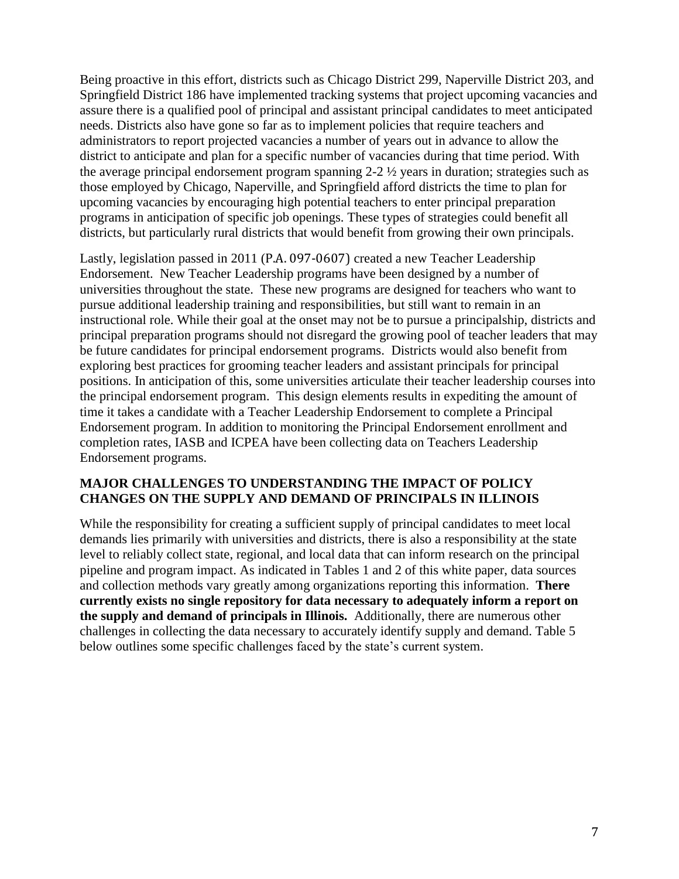Being proactive in this effort, districts such as Chicago District 299, Naperville District 203, and Springfield District 186 have implemented tracking systems that project upcoming vacancies and assure there is a qualified pool of principal and assistant principal candidates to meet anticipated needs. Districts also have gone so far as to implement policies that require teachers and administrators to report projected vacancies a number of years out in advance to allow the district to anticipate and plan for a specific number of vacancies during that time period. With the average principal endorsement program spanning 2-2 ½ years in duration; strategies such as those employed by Chicago, Naperville, and Springfield afford districts the time to plan for upcoming vacancies by encouraging high potential teachers to enter principal preparation programs in anticipation of specific job openings. These types of strategies could benefit all districts, but particularly rural districts that would benefit from growing their own principals.

Lastly, legislation passed in 2011 (P.A. 097-0607) created a new Teacher Leadership Endorsement. New Teacher Leadership programs have been designed by a number of universities throughout the state. These new programs are designed for teachers who want to pursue additional leadership training and responsibilities, but still want to remain in an instructional role. While their goal at the onset may not be to pursue a principalship, districts and principal preparation programs should not disregard the growing pool of teacher leaders that may be future candidates for principal endorsement programs. Districts would also benefit from exploring best practices for grooming teacher leaders and assistant principals for principal positions. In anticipation of this, some universities articulate their teacher leadership courses into the principal endorsement program. This design elements results in expediting the amount of time it takes a candidate with a Teacher Leadership Endorsement to complete a Principal Endorsement program. In addition to monitoring the Principal Endorsement enrollment and completion rates, IASB and ICPEA have been collecting data on Teachers Leadership Endorsement programs.

#### **MAJOR CHALLENGES TO UNDERSTANDING THE IMPACT OF POLICY CHANGES ON THE SUPPLY AND DEMAND OF PRINCIPALS IN ILLINOIS**

While the responsibility for creating a sufficient supply of principal candidates to meet local demands lies primarily with universities and districts, there is also a responsibility at the state level to reliably collect state, regional, and local data that can inform research on the principal pipeline and program impact. As indicated in Tables 1 and 2 of this white paper, data sources and collection methods vary greatly among organizations reporting this information. **There currently exists no single repository for data necessary to adequately inform a report on the supply and demand of principals in Illinois.** Additionally, there are numerous other challenges in collecting the data necessary to accurately identify supply and demand. Table 5 below outlines some specific challenges faced by the state's current system.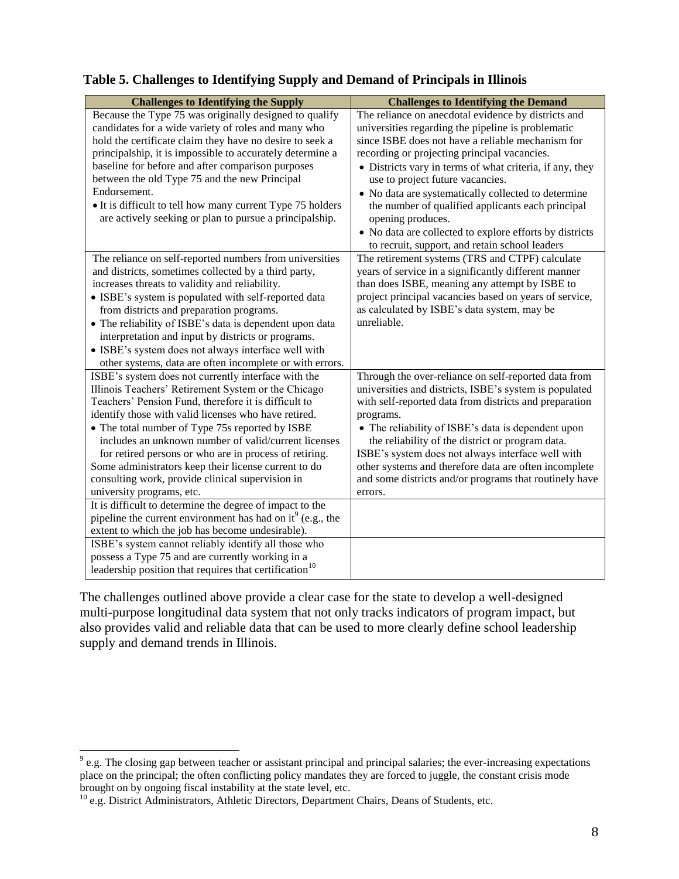| <b>Challenges to Identifying the Supply</b>                                                              | <b>Challenges to Identifying the Demand</b>                                                                     |
|----------------------------------------------------------------------------------------------------------|-----------------------------------------------------------------------------------------------------------------|
| Because the Type 75 was originally designed to qualify                                                   | The reliance on anecdotal evidence by districts and                                                             |
| candidates for a wide variety of roles and many who                                                      | universities regarding the pipeline is problematic                                                              |
| hold the certificate claim they have no desire to seek a                                                 | since ISBE does not have a reliable mechanism for                                                               |
| principalship, it is impossible to accurately determine a                                                | recording or projecting principal vacancies.                                                                    |
| baseline for before and after comparison purposes                                                        | • Districts vary in terms of what criteria, if any, they                                                        |
| between the old Type 75 and the new Principal                                                            | use to project future vacancies.                                                                                |
| Endorsement.                                                                                             | • No data are systematically collected to determine                                                             |
| • It is difficult to tell how many current Type 75 holders                                               | the number of qualified applicants each principal                                                               |
| are actively seeking or plan to pursue a principalship.                                                  | opening produces.                                                                                               |
|                                                                                                          | • No data are collected to explore efforts by districts                                                         |
|                                                                                                          | to recruit, support, and retain school leaders                                                                  |
| The reliance on self-reported numbers from universities                                                  | The retirement systems (TRS and CTPF) calculate                                                                 |
| and districts, sometimes collected by a third party,                                                     | years of service in a significantly different manner                                                            |
| increases threats to validity and reliability.                                                           | than does ISBE, meaning any attempt by ISBE to                                                                  |
| • ISBE's system is populated with self-reported data                                                     | project principal vacancies based on years of service,                                                          |
| from districts and preparation programs.                                                                 | as calculated by ISBE's data system, may be                                                                     |
| • The reliability of ISBE's data is dependent upon data                                                  | unreliable.                                                                                                     |
| interpretation and input by districts or programs.                                                       |                                                                                                                 |
| • ISBE's system does not always interface well with                                                      |                                                                                                                 |
| other systems, data are often incomplete or with errors.                                                 |                                                                                                                 |
| ISBE's system does not currently interface with the                                                      | Through the over-reliance on self-reported data from                                                            |
| Illinois Teachers' Retirement System or the Chicago                                                      | universities and districts, ISBE's system is populated                                                          |
| Teachers' Pension Fund, therefore it is difficult to                                                     | with self-reported data from districts and preparation                                                          |
| identify those with valid licenses who have retired.                                                     | programs.                                                                                                       |
| • The total number of Type 75s reported by ISBE                                                          | • The reliability of ISBE's data is dependent upon                                                              |
| includes an unknown number of valid/current licenses                                                     | the reliability of the district or program data.                                                                |
| for retired persons or who are in process of retiring.                                                   | ISBE's system does not always interface well with                                                               |
| Some administrators keep their license current to do<br>consulting work, provide clinical supervision in | other systems and therefore data are often incomplete<br>and some districts and/or programs that routinely have |
|                                                                                                          |                                                                                                                 |
| university programs, etc.<br>It is difficult to determine the degree of impact to the                    | errors.                                                                                                         |
| pipeline the current environment has had on it <sup>9</sup> (e.g., the                                   |                                                                                                                 |
| extent to which the job has become undesirable).                                                         |                                                                                                                 |
| ISBE's system cannot reliably identify all those who                                                     |                                                                                                                 |
| possess a Type 75 and are currently working in a                                                         |                                                                                                                 |
| leadership position that requires that certification <sup>10</sup>                                       |                                                                                                                 |

# **Table 5. Challenges to Identifying Supply and Demand of Principals in Illinois**

The challenges outlined above provide a clear case for the state to develop a well-designed multi-purpose longitudinal data system that not only tracks indicators of program impact, but also provides valid and reliable data that can be used to more clearly define school leadership supply and demand trends in Illinois.

 $\overline{a}$ 

 $9$  e.g. The closing gap between teacher or assistant principal and principal salaries; the ever-increasing expectations place on the principal; the often conflicting policy mandates they are forced to juggle, the constant crisis mode brought on by ongoing fiscal instability at the state level, etc.

<sup>&</sup>lt;sup>10</sup> e.g. District Administrators, Athletic Directors, Department Chairs, Deans of Students, etc.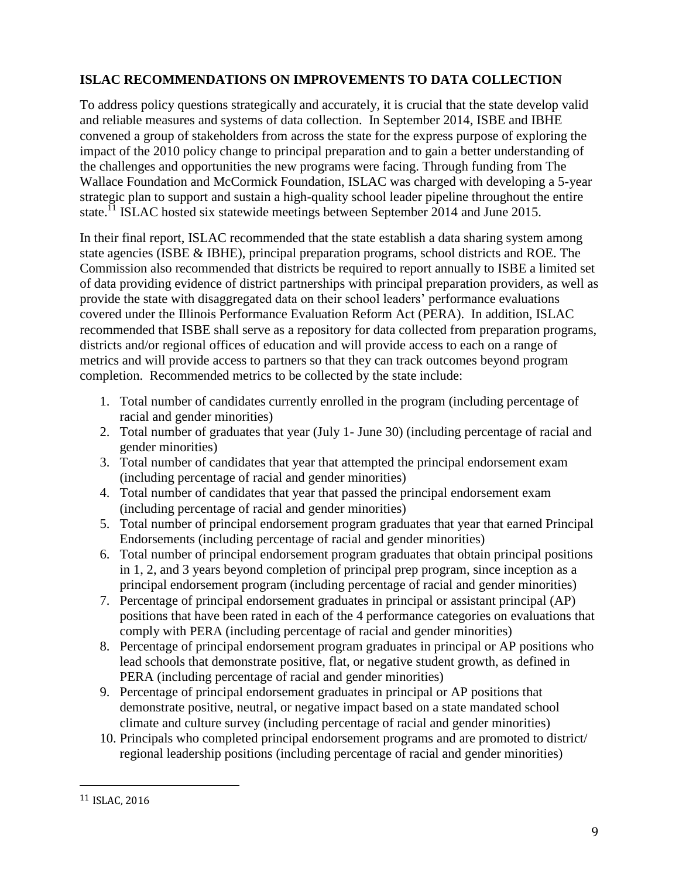### **ISLAC RECOMMENDATIONS ON IMPROVEMENTS TO DATA COLLECTION**

To address policy questions strategically and accurately, it is crucial that the state develop valid and reliable measures and systems of data collection. In September 2014, ISBE and IBHE convened a group of stakeholders from across the state for the express purpose of exploring the impact of the 2010 policy change to principal preparation and to gain a better understanding of the challenges and opportunities the new programs were facing. Through funding from The Wallace Foundation and McCormick Foundation, ISLAC was charged with developing a 5-year strategic plan to support and sustain a high-quality school leader pipeline throughout the entire state.<sup>11</sup> ISLAC hosted six statewide meetings between September 2014 and June 2015.

In their final report, ISLAC recommended that the state establish a data sharing system among state agencies (ISBE & IBHE), principal preparation programs, school districts and ROE. The Commission also recommended that districts be required to report annually to ISBE a limited set of data providing evidence of district partnerships with principal preparation providers, as well as provide the state with disaggregated data on their school leaders' performance evaluations covered under the Illinois Performance Evaluation Reform Act (PERA). In addition, ISLAC recommended that ISBE shall serve as a repository for data collected from preparation programs, districts and/or regional offices of education and will provide access to each on a range of metrics and will provide access to partners so that they can track outcomes beyond program completion. Recommended metrics to be collected by the state include:

- 1. Total number of candidates currently enrolled in the program (including percentage of racial and gender minorities)
- 2. Total number of graduates that year (July 1- June 30) (including percentage of racial and gender minorities)
- 3. Total number of candidates that year that attempted the principal endorsement exam (including percentage of racial and gender minorities)
- 4. Total number of candidates that year that passed the principal endorsement exam (including percentage of racial and gender minorities)
- 5. Total number of principal endorsement program graduates that year that earned Principal Endorsements (including percentage of racial and gender minorities)
- 6. Total number of principal endorsement program graduates that obtain principal positions in 1, 2, and 3 years beyond completion of principal prep program, since inception as a principal endorsement program (including percentage of racial and gender minorities)
- 7. Percentage of principal endorsement graduates in principal or assistant principal (AP) positions that have been rated in each of the 4 performance categories on evaluations that comply with PERA (including percentage of racial and gender minorities)
- 8. Percentage of principal endorsement program graduates in principal or AP positions who lead schools that demonstrate positive, flat, or negative student growth, as defined in PERA (including percentage of racial and gender minorities)
- 9. Percentage of principal endorsement graduates in principal or AP positions that demonstrate positive, neutral, or negative impact based on a state mandated school climate and culture survey (including percentage of racial and gender minorities)
- 10. Principals who completed principal endorsement programs and are promoted to district/ regional leadership positions (including percentage of racial and gender minorities)

 $\overline{a}$ 

<sup>11</sup> ISLAC, 2016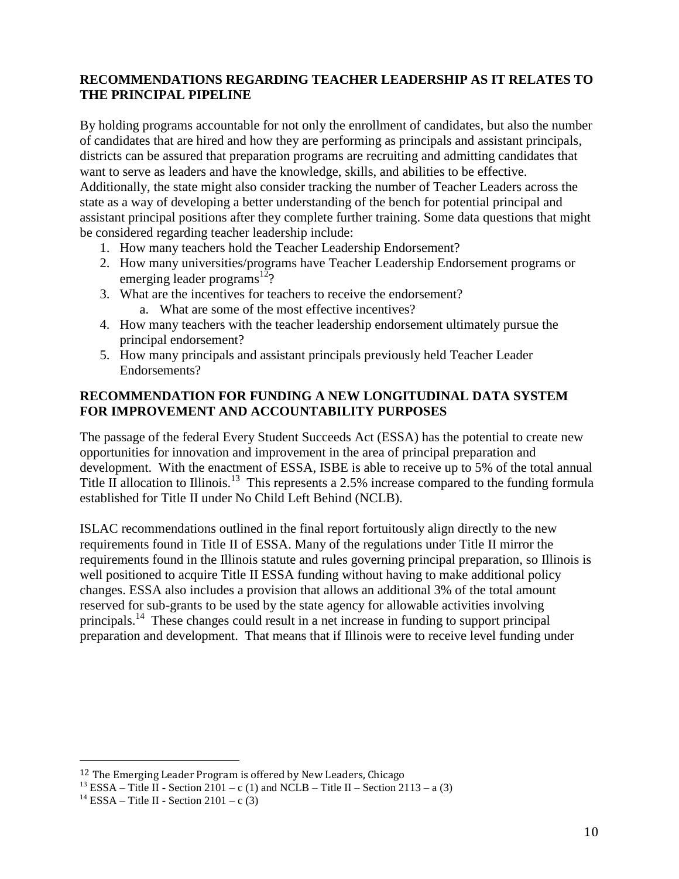### **RECOMMENDATIONS REGARDING TEACHER LEADERSHIP AS IT RELATES TO THE PRINCIPAL PIPELINE**

By holding programs accountable for not only the enrollment of candidates, but also the number of candidates that are hired and how they are performing as principals and assistant principals, districts can be assured that preparation programs are recruiting and admitting candidates that want to serve as leaders and have the knowledge, skills, and abilities to be effective. Additionally, the state might also consider tracking the number of Teacher Leaders across the state as a way of developing a better understanding of the bench for potential principal and assistant principal positions after they complete further training. Some data questions that might be considered regarding teacher leadership include:

- 1. How many teachers hold the Teacher Leadership Endorsement?
- 2. How many universities/programs have Teacher Leadership Endorsement programs or emerging leader programs<sup>12</sup>?
- 3. What are the incentives for teachers to receive the endorsement? a. What are some of the most effective incentives?
- 4. How many teachers with the teacher leadership endorsement ultimately pursue the principal endorsement?
- 5. How many principals and assistant principals previously held Teacher Leader Endorsements?

### **RECOMMENDATION FOR FUNDING A NEW LONGITUDINAL DATA SYSTEM FOR IMPROVEMENT AND ACCOUNTABILITY PURPOSES**

The passage of the federal Every Student Succeeds Act (ESSA) has the potential to create new opportunities for innovation and improvement in the area of principal preparation and development. With the enactment of ESSA, ISBE is able to receive up to 5% of the total annual Title II allocation to Illinois.<sup>13</sup> This represents a 2.5% increase compared to the funding formula established for Title II under No Child Left Behind (NCLB).

ISLAC recommendations outlined in the final report fortuitously align directly to the new requirements found in Title II of ESSA. Many of the regulations under Title II mirror the requirements found in the Illinois statute and rules governing principal preparation, so Illinois is well positioned to acquire Title II ESSA funding without having to make additional policy changes. ESSA also includes a provision that allows an additional 3% of the total amount reserved for sub-grants to be used by the state agency for allowable activities involving principals.<sup>14</sup> These changes could result in a net increase in funding to support principal preparation and development. That means that if Illinois were to receive level funding under

 $\overline{a}$ 

<sup>&</sup>lt;sup>12</sup> The Emerging Leader Program is offered by New Leaders, Chicago

<sup>&</sup>lt;sup>13</sup> ESSA – Title II - Section 2101 – c (1) and NCLB – Title II – Section 2113 – a (3)

<sup>&</sup>lt;sup>14</sup> ESSA – Title II - Section 2101 – c (3)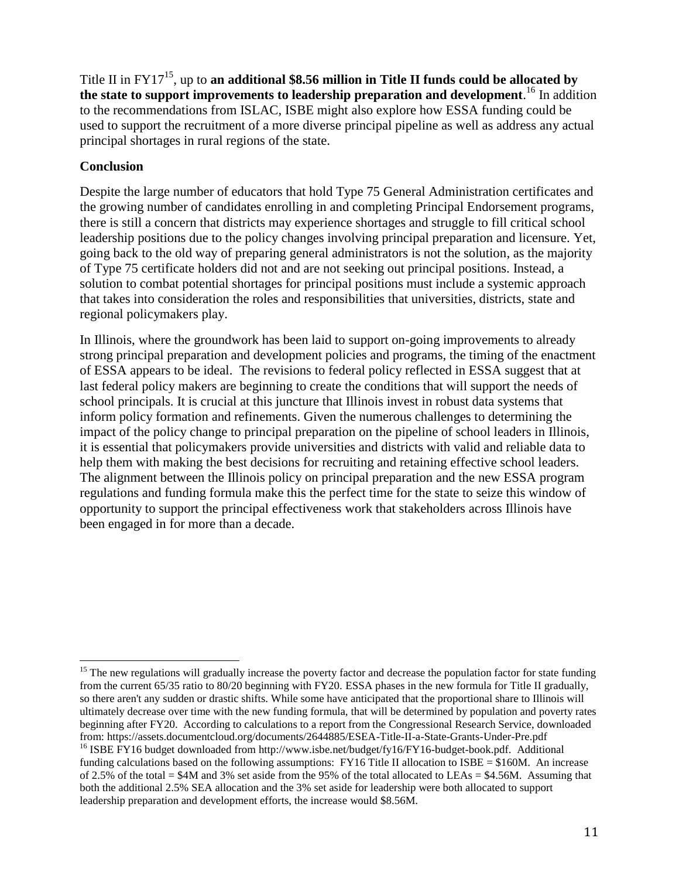Title II in FY17<sup>15</sup> , up to **an additional \$8.56 million in Title II funds could be allocated by the state to support improvements to leadership preparation and development**. <sup>16</sup> In addition to the recommendations from ISLAC, ISBE might also explore how ESSA funding could be used to support the recruitment of a more diverse principal pipeline as well as address any actual principal shortages in rural regions of the state.

### **Conclusion**

Despite the large number of educators that hold Type 75 General Administration certificates and the growing number of candidates enrolling in and completing Principal Endorsement programs, there is still a concern that districts may experience shortages and struggle to fill critical school leadership positions due to the policy changes involving principal preparation and licensure. Yet, going back to the old way of preparing general administrators is not the solution, as the majority of Type 75 certificate holders did not and are not seeking out principal positions. Instead, a solution to combat potential shortages for principal positions must include a systemic approach that takes into consideration the roles and responsibilities that universities, districts, state and regional policymakers play.

In Illinois, where the groundwork has been laid to support on-going improvements to already strong principal preparation and development policies and programs, the timing of the enactment of ESSA appears to be ideal. The revisions to federal policy reflected in ESSA suggest that at last federal policy makers are beginning to create the conditions that will support the needs of school principals. It is crucial at this juncture that Illinois invest in robust data systems that inform policy formation and refinements. Given the numerous challenges to determining the impact of the policy change to principal preparation on the pipeline of school leaders in Illinois, it is essential that policymakers provide universities and districts with valid and reliable data to help them with making the best decisions for recruiting and retaining effective school leaders. The alignment between the Illinois policy on principal preparation and the new ESSA program regulations and funding formula make this the perfect time for the state to seize this window of opportunity to support the principal effectiveness work that stakeholders across Illinois have been engaged in for more than a decade.

 $\overline{a}$ <sup>15</sup> The new regulations will gradually increase the poverty factor and decrease the population factor for state funding from the current 65/35 ratio to 80/20 beginning with FY20. ESSA phases in the new formula for Title II gradually, so there aren't any sudden or drastic shifts. While some have anticipated that the proportional share to Illinois will ultimately decrease over time with the new funding formula, that will be determined by population and poverty rates beginning after FY20. According to calculations to a report from the Congressional Research Service, downloaded from: https://assets.documentcloud.org/documents/2644885/ESEA-Title-II-a-State-Grants-Under-Pre.pdf

<sup>&</sup>lt;sup>16</sup> ISBE FY16 budget downloaded from [http://www.isbe.net/budget/fy16/FY16-budget-book.pdf.](http://www.isbe.net/budget/fy16/FY16-budget-book.pdf) Additional funding calculations based on the following assumptions:  $FY16$  Title II allocation to ISBE = \$160M. An increase of 2.5% of the total =  $$4M$  and 3% set aside from the 95% of the total allocated to LEAs =  $$4.56M$ . Assuming that both the additional 2.5% SEA allocation and the 3% set aside for leadership were both allocated to support leadership preparation and development efforts, the increase would \$8.56M.